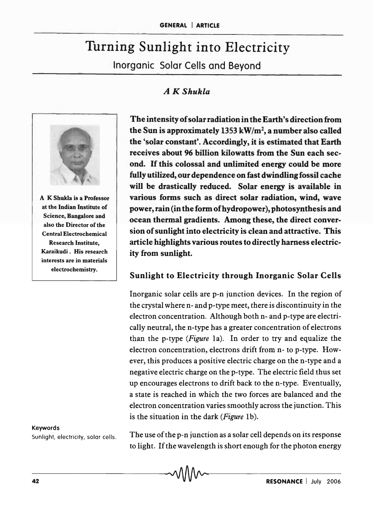# Turning Sunlight into Electricity Inorganic Solar Cells and Beyond

#### *A K Shukla*



A K Shukla is a Professor at the Indian Institute of Science, Bangalore and also the Director of the Central Electrochemical Research Institute, Karaikudi. His research interests are in materials electrochemistry.

# Keywords

Sunlight, electricity, solar cells.

The intensity of solar radiation in the Earth's direction from the Sun is approximately 1353 kW/m<sup>2</sup>, a number also called the 'solar constant'. Accordingly, it is estimated that Earth receives about 96 billion kilowatts from the Sun each second. If this colossal and unlimited energy could be more fully utilized, our dependence on fast dwindling fossil cache will be drastically reduced. Solar energy is available in various forms such as direct solar radiation, wind, wave power, rain (in the form of hydropower), photosynthesis and ocean thermal gradients. Among these, the direct conversion of sunlight into electricity is clean and attractive. This article highlights various routes to directly harness electricity from sunlight.

#### Sunlight to Electricity through Inorganic Solar Cells

Inorganic solar cells are p-n junction devices. In the region of the crystal where n- and p-type meet, there is discontinuity in the electron concentration. Although both n- and p-type are electrically neutral, the n-type has a greater concentration of electrons than the p-type *(Figure* 1a). In order to try and equalize the electron concentration, electrons drift from n- to p-type. However, this produces a positive electric charge on the n-type and a negative electric charge on the p-type. The electric field thus set up encourages electrons to drift back to the n-type. Eventually, a state is reached in which the two forces are balanced and the electron concentration varies smoothly across the junction. This is the situation in the dark *(Figure 1b)*.

The use of the p-n junction as a solar cell depends on its response to light. If the wavelength is short enough for the photon energy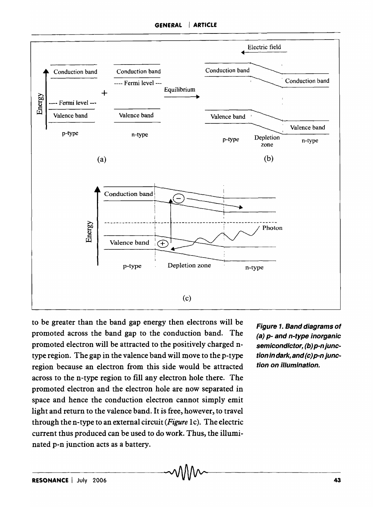

 $\sim$ 

to be greater than the band gap energy then electrons will be promoted across the band gap to the conduction band. The promoted electron will be attracted to the positively charged ntype region. The gap in the valence band will move to the p-type region because an electron from this side would be attracted across to the n-type region to fill any electron hole there. The promoted electron and the electron hole are now separated in space and hence the conduction electron cannot simply emit light and return to the valence band. It is free, however, to travel through the n-type to an external circuit *(Figure* Ic). The electric current thus produced can be used to do work. Thus, the illuminated p-n junction acts as a battery.

Figure 1. Band diagrams of (a) p- and n-type inorganic semicondictor, (b) p-n junction in dark, and (c) p-n junction on illumination.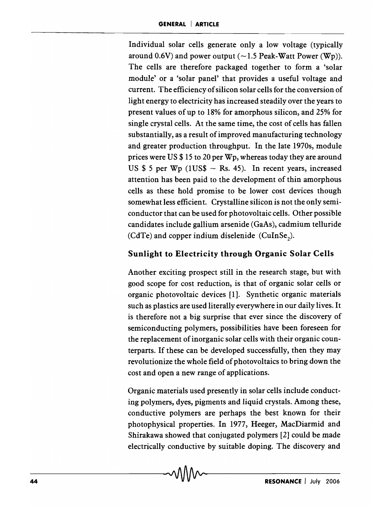Individual solar cells generate only a low voltage (typically around 0.6V) and power output ( $\sim$ 1.5 Peak-Watt Power (Wp)). The cells are therefore packaged together to form a 'solar module' or a 'solar panel' that provides a useful voltage and current. The efficiency of silicon solar cells for the conversion of light energy to electricity has increased steadily over the years to present values of up to 18% for amorphous silicon, and 25% for single crystal cells. At the same time, the cost of cells has fallen substantially, as a result of improved manufacturing technology and greater production throughput. In the late 1970s, module prices were US \$15 to 20 per Wp, whereas today they are around US  $$5$  per Wp (1US\$ ~ Rs. 45). In recent years, increased attention has been paid to the development of thin amorphous cells as these hold promise to be lower cost devices though somewhat less efficient. Crystalline silicon is not the only semiconductor that can be used for photovoltaic cells. Other possible candidates include gallium arsenide (GaAs), cadmium telluride (CdTe) and copper indium diselenide (CuInSe<sub>2</sub>).

# Sunlight to Electricity through Organic Solar Cells

Another exciting prospect still in the research stage, but with good scope for cost reduction, is that of organic solar cells or organic photovoltaic devices [1]. Synthetic organic materials such as plastics are used literally everywhere in our daily lives. It is therefore not a big surprise that ever since the discovery of semiconducting polymers, possibilities have been foreseen for the replacement of inorganic solar cells with their organic counterparts. If these can be developed successfully, then they may revolutionize the whole field of photovoltaics to bring down the cost and open a new range of applications.

Organic materials used presently in solar cells include conducting polymers, dyes, pigments and liquid crystals. Among these, conductive polymers are perhaps the best known for their photophysical properties. In 1977, Heeger, MacDiarmid and Shirakawa showed that conjugated polymers [2] could be made electrically conductive by suitable doping. The discovery and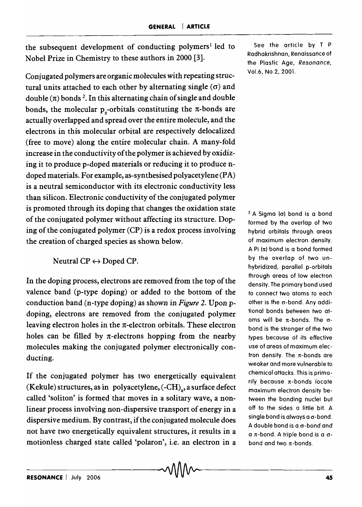the subsequent development of conducting polymers<sup>1</sup> led to Nobel Prize in Chemistry to these authors in 2000 [3].

Conjugated polymers are organic molecules with repeating structural units attached to each other by alternating single  $(\sigma)$  and double  $(\pi)$  bonds<sup>2</sup>. In this alternating chain of single and double bonds, the molecular  $p_{z}$ -orbitals constituting the  $\pi$ -bonds are actually overlapped and spread over the entire molecule, and the electrons in this molecular orbital are respectively delocalized (free to move) along the entire molecular chain. A many-fold increase in the conductivity of the polymer is achieved by oxidizing it to produce p-doped materials or reducing it to produce ndoped materials. For example, as-synthesised polyacetylene  $(PA)$ is a neutral semiconductor with its electronic conductivity less than silicon. Electronic conductivity of the conjugated polymer is promoted through its doping that changes the oxidation state of the conjugated polymer without affecting its structure. Doping of the conjugated polymer (CP) is a redox process involving the creation of charged species as shown below.

#### Neutral  $CP \leftrightarrow Doped CP$ .

In the doping process, electrons are removed from the top of the valence band (p-type doping) or added to the bottom of the conduction band (n-type doping) as shown *in Figure* 2. Upon pdoping, electrons are removed from the conjugated polymer leaving electron holes in the  $\pi$ -electron orbitals. These electron holes can be filled by  $\pi$ -electrons hopping from the nearby molecules making the conjugated polymer electronically conducting.

If the conjugated polymer has two energetically equivalent (Kekule) structures, as in polyacetylene,  $(-CH)_{v}$ , a surface defect called 'soliton' is formed that moves in a solitary wave, a nonlinear process involving non-dispersive transport of energy in a dispersive medium. By contrast, if the conjugated molecule does not have two energetically equivalent structures, it results in a motionless charged state called 'polaron', i.e. an electron in a

See the article by T P Radhakrishnan, Renaissance of the Plastic Age, Resonance, Vol.6, No.2, 2001.

 $2$  A Sigma ( $\sigma$ ) bond is a bond formed by the overlap of two hybrid orbitals through areas of maximum electron density. A Pi  $\pi$ ) bond is a bond formed by the overlap of two unhybridized, parallel p-orbitals through areas of low electron density. The primary bond used to connect two atoms to each other is the  $\sigma$ -bond. Any additional bonds between two atoms will be  $\pi$ -bonds. The  $\sigma$ bond is the stronger of the two types because of its effective use of areas of maximum electron density. The  $\pi$ -bonds are weaker and more vulnerable to chemical attacks. This is primarily because  $\pi$ -bonds locate maximum electron density between the bonding nuclei but off to the sides a little bit. A single bond is always a  $\sigma$ -bond. A double bond is a a-bond and  $a \pi$ -bond. A triple bond is a  $\sigma$ bond and two  $\pi$ -bonds.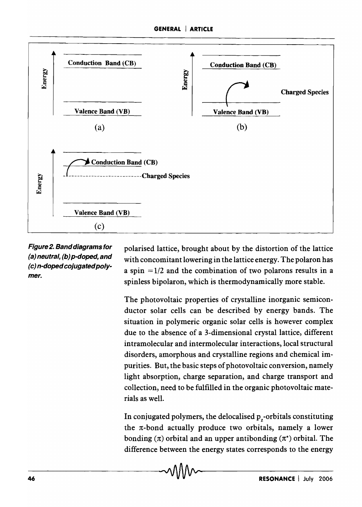

Figure 2. Band diagrams for (a) neutral, (b) p-daped, and (c) n-daped cajugated palymer.

polarised lattice, brought about by the distortion of the lattice with concomitant lowering in the lattice energy. The polaron has a spin  $= 1/2$  and the combination of two polarons results in a spinless bipolaron, which is thermodynamically more stable.

The photovoltaic properties of crystalline inorganic semiconductor solar cells can be described by energy bands. The situation in polymeric organic solar cells is however complex due to the absence of a 3-dimensional crystal lattice, different intramolecular and intermolecular interactions, local structural disorders, amorphous and crystalline regions and chemical impurities. But, the basic steps of photovoltaic conversion, namely light absorption, charge separation, and charge transport and collection, need to be fulfilled in the organic photovoltaic materials as well.

In conjugated polymers, the delocalised  $p<sub>z</sub>$ -orbitals constituting the  $\pi$ -bond actually produce two orbitals, namely a lower bonding  $(\pi)$  orbital and an upper antibonding  $(\pi^*)$  orbital. The difference between the energy states corresponds to the energy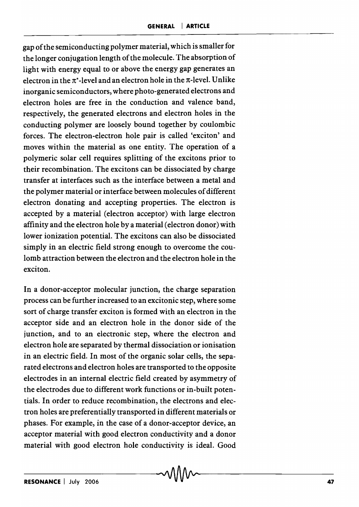gap of the semiconducting polymer material, which is smaller for the longer conjugation length of the molecule. The absorption of light with energy equal to or above the energy gap generates an electron in the  $\pi^*$ -level and an electron hole in the  $\pi$ -level. Unlike inorganic semiconductors, where photo-generated electrons and electron holes are free in the conduction and valence band, respectively, the generated electrons and electron holes in the conducting polymer are loosely bound together by coulombic forces. The electron-electron hole pair is called 'exciton' and moves within the material as one entity. The operation of a polymeric solar cell requires splitting of the excitons prior to their recombination. The excitons can be dissociated by charge transfer at interfaces such as the interface between a metal and the polymer material or interface between molecules of different electron donating and accepting properties. The electron is accepted by a material (electron acceptor) with large electron affinity and the electron hole by a material (electron donor) with lower ionization potential. The excitons can also be dissociated simply in an electric field strong enough to overcome the coulomb attraction between the electron and the electron hole in the exciton.

In a donor-acceptor molecular junction, the charge separation process can be further increased to an excitonic step, where some sort of charge transfer exciton is formed with an electron in the acceptor side and an electron hole in the donor side of the junction, and to an electronic step, where the electron and electron hole are separated by thermal dissociation or ionisation in an electric field. In most of the organic solar cells, the separated electrons and electron holes are transported to the opposite electrodes in an internal electric field created by asymmetry of the electrodes due to different work functions or in-built potentials. In order to reduce recombination, the electrons and electron holes are preferentially transported in different materials or phases. For example, in the case of a donor-acceptor device, an acceptor material with good electron conductivity and a donor material with good electron hole conductivity is ideal. Good

 $\overline{\phantom{a}}$  -  $\overline{\phantom{a}}$  -  $\overline{\phantom{a}}$   $\overline{\phantom{a}}$   $\overline{\phantom{a}}$   $\overline{\phantom{a}}$   $\overline{\phantom{a}}$   $\overline{\phantom{a}}$   $\overline{\phantom{a}}$   $\overline{\phantom{a}}$   $\overline{\phantom{a}}$   $\overline{\phantom{a}}$   $\overline{\phantom{a}}$   $\overline{\phantom{a}}$   $\overline{\phantom{a}}$   $\overline{\phantom{a}}$   $\overline{\phantom{a}}$   $\overline{\phantom{a}}$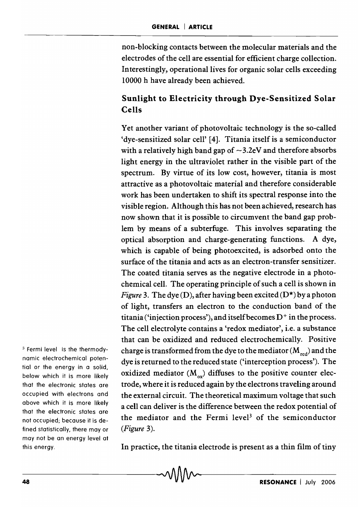non-blocking contacts between the molecular materials and the electrodes of the cell are essential for efficient charge collection. Interestingly, operational lives for organic solar cells exceeding 10000 h have already been achieved.

# Sunlight to Electricity through Dye-Sensitized Solar Cells

Yet another variant of photovoltaic technology is the so-called 'dye-sensitized solar cell' [4]. Titania itself is a semiconductor with a relatively high band gap of  $\sim$ 3.2eV and therefore absorbs light energy in the ultraviolet rather in the visible part of the spectrum. By virtue of its low cost, however, titania is most attractive as a photovoltaic material and therefore considerable work has been undertaken to shift its spectral response into the visible region. Although this has not been achieved, research has now shown that it is possible to circumvent the band gap problem by means of a subterfuge. This involves separating the optical absorption and charge-generating functions. A dye, which is capable of being photoexcited, is adsorbed onto the surface of the titania and acts as an electron-transfer sensitizer. The coated titania serves as the negative electrode in a photochemical cell. The operating principle of such a cell is shown in *Figure* 3. The dye (D), after having been excited  $(D^*)$  by a photon of light, transfers an electron to the conduction band of the titania ('injection process'), and itself becomes  $D^+$  in the process. The cell electrolyte contains a 'redox mediator', i.e. a substance that can be oxidized and reduced electrochemically. Positive charge is transformed from the dye to the mediator  $(M_{red})$  and the dye is returned to the reduced state ('interception process'). The oxidized mediator  $(M_{\text{ov}})$  diffuses to the positive counter electrode, where it is reduced again by the electrons traveling around the external circuit. The theoretical maximum voltage that such a cell can deliver is the difference between the redox potential of the mediator and the Fermi level<sup>3</sup> of the semiconductor *(Figure 3).* 

In practice, the titania electrode is present as a thin film of tiny

namic electrochemical potential or the energy in a solid, below which it is more likely that the electronic states are occupied with electrons and above which it is more likely that the electronic states are not occupied; because it is defined statistically, there mayor may not be an energy level at this energy.

3 Fermi level is the thermody-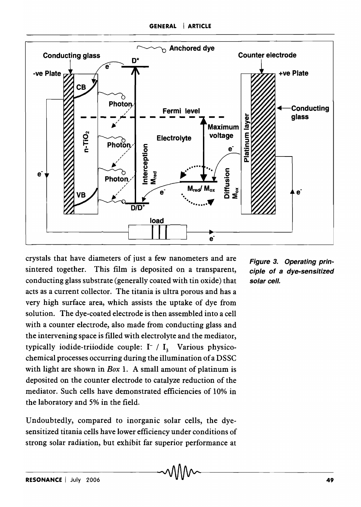

crystals that have diameters of just a few nanometers and are sintered together. This film is deposited on a transparent, conducting glass substrate (generally coated with tin oxide) that acts as a current collector. The titania is ultra porous and has a very high surface area, which assists the uptake of dye from solution. The dye-coated electrode is then assembled into a cell with a counter electrode, also made from conducting glass and the intervening space is filled with electrolyte and the mediator, typically iodide-triiodide couple:  $\mathbf{I}^-$  /  $\mathbf{I}_3$  Various physicochemical processes occurring during the illumination of a DSSC with light are shown in *Box* 1. A small amount of platinum is deposited on the counter electrode to catalyze reduction of the mediator. Such cells have demonstrated efficiencies of 10% in the laboratory and 5% in the field.

Undoubtedly, compared to inorganic solar cells, the dyesensitized titania cells have lower efficiency under conditions of strong solar radiation, but exhibit far superior performance at

Figure 3. Operating principle of a dye-sensitized solar cell.